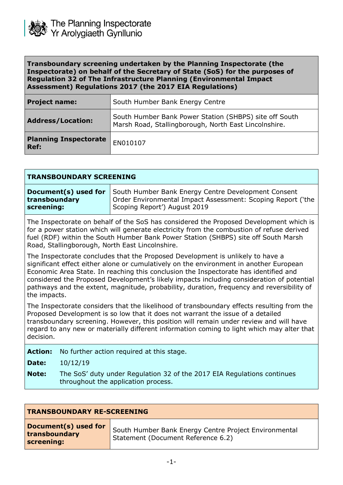

## **Transboundary screening undertaken by the Planning Inspectorate (the Inspectorate) on behalf of the Secretary of State (SoS) for the purposes of Regulation 32 of The Infrastructure Planning (Environmental Impact Assessment) Regulations 2017 (the 2017 EIA Regulations)**

| <b>Project name:</b>                 | South Humber Bank Energy Centre                                                                                 |
|--------------------------------------|-----------------------------------------------------------------------------------------------------------------|
| <b>Address/Location:</b>             | South Humber Bank Power Station (SHBPS) site off South<br>Marsh Road, Stallingborough, North East Lincolnshire. |
| <b>Planning Inspectorate</b><br>Ref: | EN010107                                                                                                        |

| <b>TRANSBOUNDARY SCREENING</b>                                                                                                                                                                                                                                                                                                                                                                                                                                             |                      |                                                                                                                                                    |
|----------------------------------------------------------------------------------------------------------------------------------------------------------------------------------------------------------------------------------------------------------------------------------------------------------------------------------------------------------------------------------------------------------------------------------------------------------------------------|----------------------|----------------------------------------------------------------------------------------------------------------------------------------------------|
| transboundary<br>screening:                                                                                                                                                                                                                                                                                                                                                                                                                                                | Document(s) used for | South Humber Bank Energy Centre Development Consent<br>Order Environmental Impact Assessment: Scoping Report ('the<br>Scoping Report') August 2019 |
| The Inspectorate on behalf of the SoS has considered the Proposed Development which is<br>for a power station which will generate electricity from the combustion of refuse derived<br>fuel (RDF) within the South Humber Bank Power Station (SHBPS) site off South Marsh<br>Road, Stallingborough, North East Lincolnshire.                                                                                                                                               |                      |                                                                                                                                                    |
| The Inspectorate concludes that the Proposed Development is unlikely to have a<br>significant effect either alone or cumulatively on the environment in another European<br>Economic Area State. In reaching this conclusion the Inspectorate has identified and<br>considered the Proposed Development's likely impacts including consideration of potential<br>pathways and the extent, magnitude, probability, duration, frequency and reversibility of<br>the impacts. |                      |                                                                                                                                                    |
| The Inspectorate considers that the likelihood of transboundary effects resulting from the<br>Proposed Development is so low that it does not warrant the issue of a detailed<br>transboundary screening. However, this position will remain under review and will have<br>regard to any new or materially different information coming to light which may alter that<br>decision.                                                                                         |                      |                                                                                                                                                    |
| <b>Action:</b>                                                                                                                                                                                                                                                                                                                                                                                                                                                             |                      | No further action required at this stage.                                                                                                          |
| Date:                                                                                                                                                                                                                                                                                                                                                                                                                                                                      | 10/12/19             |                                                                                                                                                    |
| <b>Note:</b>                                                                                                                                                                                                                                                                                                                                                                                                                                                               |                      | The SoS' duty under Regulation 32 of the 2017 EIA Regulations continues<br>throughout the application process.                                     |

| <b>TRANSBOUNDARY RE-SCREENING</b>                   |                                                                                             |  |
|-----------------------------------------------------|---------------------------------------------------------------------------------------------|--|
| Document(s) used for<br>transboundary<br>screening: | South Humber Bank Energy Centre Project Environmental<br>Statement (Document Reference 6.2) |  |